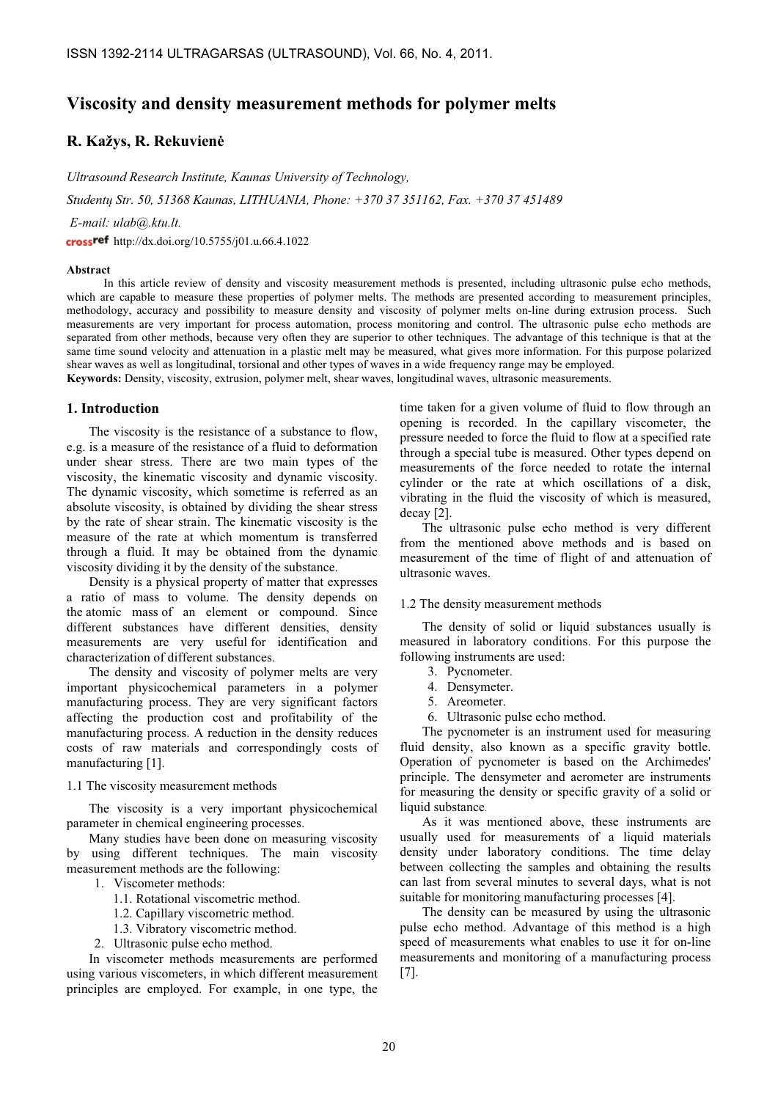# Viscosity and density measurement methods for polymer melts

# R. Kažys, R. Rekuvienė

Ultrasound Research Institute, Kaunas University of Technology,

Studentų Str. 50, 51368 Kaunas, LITHUANIA, Phone: +370 37 351162, Fax. +370 37 451489

E-mail: ulab@.ktu.lt.

crossref http://dx.doi.org/10.5755/j01.u.66.4.1022

### Abstract

In this article review of density and viscosity measurement methods is presented, including ultrasonic pulse echo methods, which are capable to measure these properties of polymer melts. The methods are presented according to measurement principles, methodology, accuracy and possibility to measure density and viscosity of polymer melts on-line during extrusion process. Such measurements are very important for process automation, process monitoring and control. The ultrasonic pulse echo methods are separated from other methods, because very often they are superior to other techniques. The advantage of this technique is that at the same time sound velocity and attenuation in a plastic melt may be measured, what gives more information. For this purpose polarized shear waves as well as longitudinal, torsional and other types of waves in a wide frequency range may be employed. Keywords: Density, viscosity, extrusion, polymer melt, shear waves, longitudinal waves, ultrasonic measurements.

## 1. Introduction

The viscosity is the resistance of a substance to flow, e.g. is a measure of the resistance of a fluid to deformation under shear stress. There are two main types of the viscosity, the kinematic viscosity and dynamic viscosity. The dynamic viscosity, which sometime is referred as an absolute viscosity, is obtained by dividing the shear stress by the rate of shear strain. The kinematic viscosity is the measure of the rate at which momentum is transferred through a fluid. It may be obtained from the dynamic viscosity dividing it by the density of the substance.

Density is a physical property of matter that expresses a ratio of mass to volume. The density depends on the atomic mass of an element or compound. Since different substances have different densities, density measurements are very useful for identification and characterization of different substances.

The density and viscosity of polymer melts are very important physicochemical parameters in a polymer manufacturing process. They are very significant factors affecting the production cost and profitability of the manufacturing process. A reduction in the density reduces costs of raw materials and correspondingly costs of manufacturing [1].

### 1.1 The viscosity measurement methods

The viscosity is a very important physicochemical parameter in chemical engineering processes.

Many studies have been done on measuring viscosity by using different techniques. The main viscosity measurement methods are the following:

- 1. Viscometer methods:
	- 1.1. Rotational viscometric method.
	- 1.2. Capillary viscometric method.
	- 1.3. Vibratory viscometric method.
- 2. Ultrasonic pulse echo method.

In viscometer methods measurements are performed using various viscometers, in which different measurement principles are employed. For example, in one type, the

time taken for a given volume of fluid to flow through an opening is recorded. In the capillary viscometer, the pressure needed to force the fluid to flow at a specified rate through a special tube is measured. Other types depend on measurements of the force needed to rotate the internal cylinder or the rate at which oscillations of a disk, vibrating in the fluid the viscosity of which is measured, decay [2].

The ultrasonic pulse echo method is very different from the mentioned above methods and is based on measurement of the time of flight of and attenuation of ultrasonic waves.

#### 1.2 The density measurement methods

The density of solid or liquid substances usually is measured in laboratory conditions. For this purpose the following instruments are used:

- 3. Pycnometer.
- 4. Densymeter.
- 5. Areometer.
- 6. Ultrasonic pulse echo method.

The pycnometer is an instrument used for measuring fluid density, also known as a specific gravity bottle. Operation of pycnometer is based on the Archimedes' principle. The densymeter and aerometer are instruments for measuring the density or specific gravity of a solid or liquid substance.

As it was mentioned above, these instruments are usually used for measurements of a liquid materials density under laboratory conditions. The time delay between collecting the samples and obtaining the results can last from several minutes to several days, what is not suitable for monitoring manufacturing processes [4].

The density can be measured by using the ultrasonic pulse echo method. Advantage of this method is a high speed of measurements what enables to use it for on-line measurements and monitoring of a manufacturing process [7].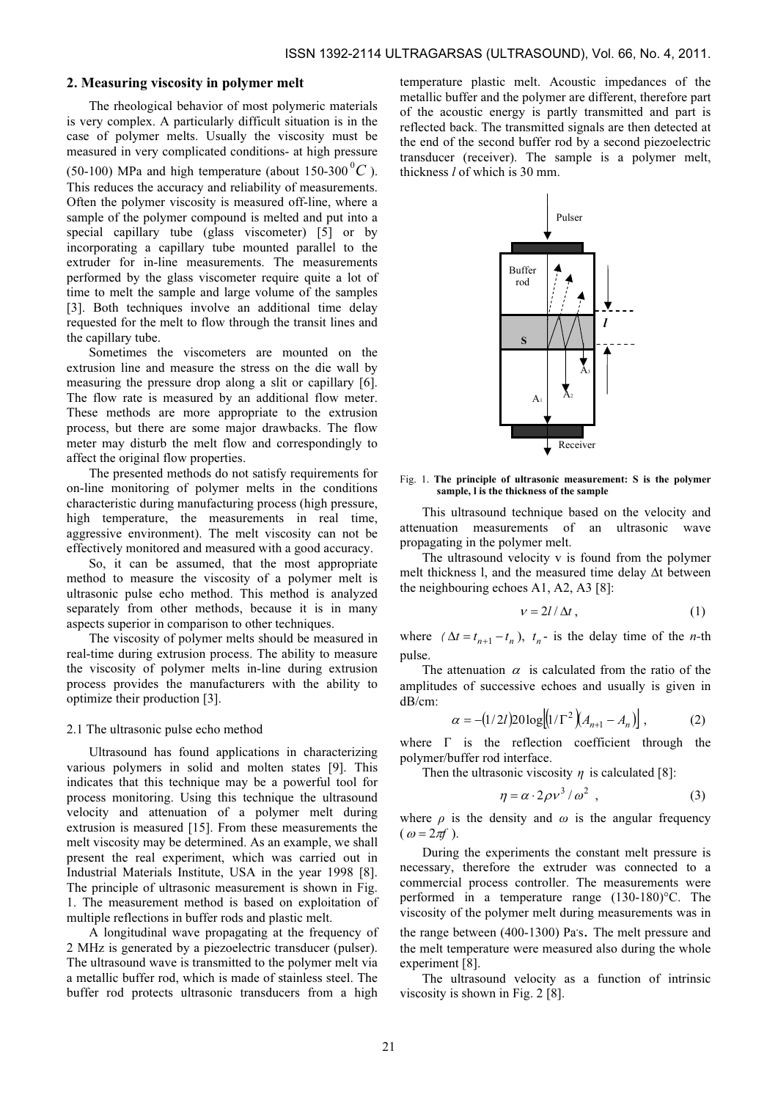## 2. Measuring viscosity in polymer melt

The rheological behavior of most polymeric materials is very complex. A particularly difficult situation is in the case of polymer melts. Usually the viscosity must be measured in very complicated conditions- at high pressure (50-100) MPa and high temperature (about 150-300 $\mathrm{^{0}C}$ ). This reduces the accuracy and reliability of measurements. Often the polymer viscosity is measured off-line, where a sample of the polymer compound is melted and put into a special capillary tube (glass viscometer) [5] or by incorporating a capillary tube mounted parallel to the extruder for in-line measurements. The measurements performed by the glass viscometer require quite a lot of time to melt the sample and large volume of the samples [3]. Both techniques involve an additional time delay requested for the melt to flow through the transit lines and the capillary tube.

Sometimes the viscometers are mounted on the extrusion line and measure the stress on the die wall by measuring the pressure drop along a slit or capillary [6]. The flow rate is measured by an additional flow meter. These methods are more appropriate to the extrusion process, but there are some major drawbacks. The flow meter may disturb the melt flow and correspondingly to affect the original flow properties.

The presented methods do not satisfy requirements for on-line monitoring of polymer melts in the conditions characteristic during manufacturing process (high pressure, high temperature, the measurements in real time, aggressive environment). The melt viscosity can not be effectively monitored and measured with a good accuracy.

So, it can be assumed, that the most appropriate method to measure the viscosity of a polymer melt is ultrasonic pulse echo method. This method is analyzed separately from other methods, because it is in many aspects superior in comparison to other techniques.

The viscosity of polymer melts should be measured in real-time during extrusion process. The ability to measure the viscosity of polymer melts in-line during extrusion process provides the manufacturers with the ability to optimize their production [3].

#### 2.1 The ultrasonic pulse echo method

Ultrasound has found applications in characterizing various polymers in solid and molten states [9]. This indicates that this technique may be a powerful tool for process monitoring. Using this technique the ultrasound velocity and attenuation of a polymer melt during extrusion is measured [15]. From these measurements the melt viscosity may be determined. As an example, we shall present the real experiment, which was carried out in Industrial Materials Institute, USA in the year 1998 [8]. The principle of ultrasonic measurement is shown in Fig. 1. The measurement method is based on exploitation of multiple reflections in buffer rods and plastic melt.

A longitudinal wave propagating at the frequency of 2 MHz is generated by a piezoelectric transducer (pulser). The ultrasound wave is transmitted to the polymer melt via a metallic buffer rod, which is made of stainless steel. The buffer rod protects ultrasonic transducers from a high

temperature plastic melt. Acoustic impedances of the metallic buffer and the polymer are different, therefore part of the acoustic energy is partly transmitted and part is reflected back. The transmitted signals are then detected at the end of the second buffer rod by a second piezoelectric transducer (receiver). The sample is a polymer melt, thickness l of which is 30 mm.



Fig. 1. The principle of ultrasonic measurement: S is the polymer sample, l is the thickness of the sample

This ultrasound technique based on the velocity and attenuation measurements of an ultrasonic wave propagating in the polymer melt.

The ultrasound velocity v is found from the polymer melt thickness l, and the measured time delay Δt between the neighbouring echoes A1, A2, A3 [8]:

$$
v = 2l/\Delta t, \qquad (1)
$$

where  $(\Delta t = t_{n+1} - t_n)$ ,  $t_n$ - is the delay time of the *n*-th pulse.

The attenuation  $\alpha$  is calculated from the ratio of the amplitudes of successive echoes and usually is given in dB/cm:  $\mathbf{r}$ 

$$
\alpha = -\left(1/2l\right)20\log\left[\left(1/\Gamma^2\right)\!\left(A_{n+1} - A_n\right)\right],\tag{2}
$$

where  $\Gamma$  is the reflection coefficient through the polymer/buffer rod interface.

Then the ultrasonic viscosity  $\eta$  is calculated [8]:

$$
\eta = \alpha \cdot 2\rho v^3 / \omega^2 , \qquad (3)
$$

where  $\rho$  is the density and  $\omega$  is the angular frequency  $(\omega = 2\pi f)$ .

During the experiments the constant melt pressure is necessary, therefore the extruder was connected to a commercial process controller. The measurements were performed in a temperature range (130-180)°C. The viscosity of the polymer melt during measurements was in the range between (400-1300) Pa's. The melt pressure and the melt temperature were measured also during the whole experiment [8].

The ultrasound velocity as a function of intrinsic viscosity is shown in Fig. 2 [8].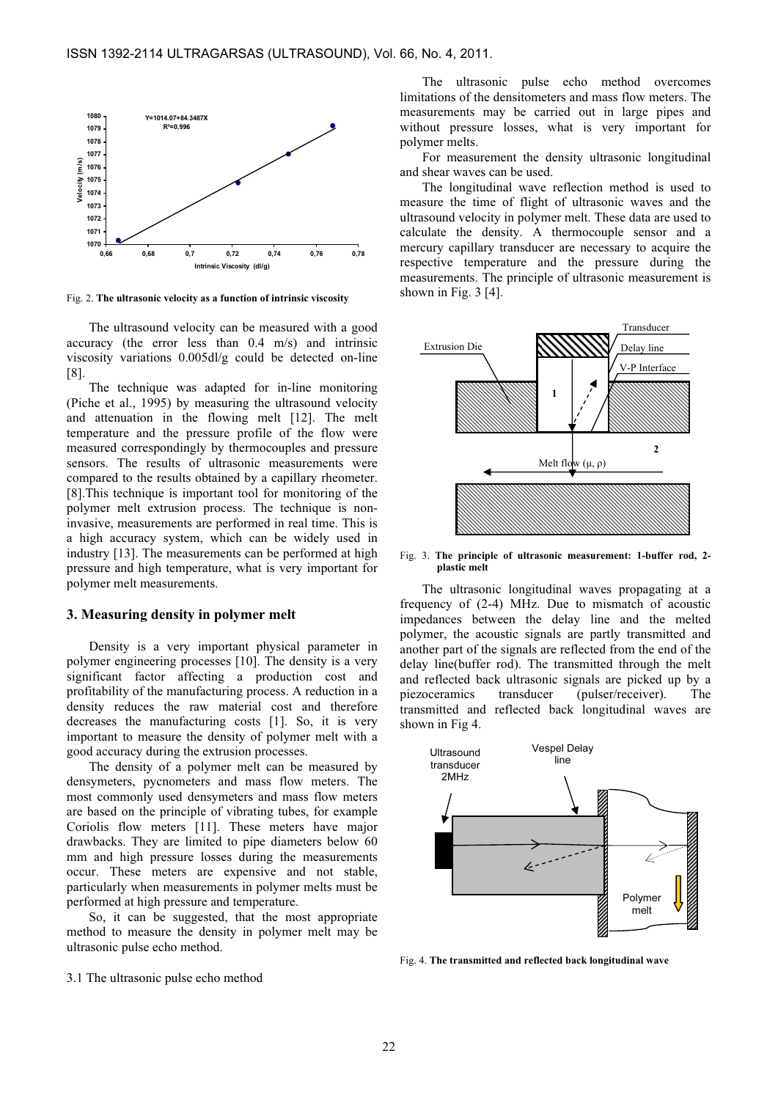

Fig. 2. The ultrasonic velocity as a function of intrinsic viscosity

The ultrasound velocity can be measured with a good accuracy (the error less than 0.4 m/s) and intrinsic viscosity variations 0.005dl/g could be detected on-line [8].

The technique was adapted for in-line monitoring (Piche et al., 1995) by measuring the ultrasound velocity and attenuation in the flowing melt [12]. The melt temperature and the pressure profile of the flow were measured correspondingly by thermocouples and pressure sensors. The results of ultrasonic measurements were compared to the results obtained by a capillary rheometer. [8].This technique is important tool for monitoring of the polymer melt extrusion process. The technique is noninvasive, measurements are performed in real time. This is a high accuracy system, which can be widely used in industry [13]. The measurements can be performed at high pressure and high temperature, what is very important for polymer melt measurements.

#### 3. Measuring density in polymer melt

Density is a very important physical parameter in polymer engineering processes [10]. The density is a very significant factor affecting a production cost and profitability of the manufacturing process. A reduction in a density reduces the raw material cost and therefore decreases the manufacturing costs [1]. So, it is very important to measure the density of polymer melt with a good accuracy during the extrusion processes.

The density of a polymer melt can be measured by densymeters, pycnometers and mass flow meters. The most commonly used densymeters and mass flow meters are based on the principle of vibrating tubes, for example Coriolis flow meters [11]. These meters have major drawbacks. They are limited to pipe diameters below 60 mm and high pressure losses during the measurements occur. These meters are expensive and not stable, particularly when measurements in polymer melts must be performed at high pressure and temperature.

So, it can be suggested, that the most appropriate method to measure the density in polymer melt may be ultrasonic pulse echo method.

The ultrasonic pulse echo method overcomes limitations of the densitometers and mass flow meters. The measurements may be carried out in large pipes and without pressure losses, what is very important for polymer melts.

For measurement the density ultrasonic longitudinal and shear waves can be used.

The longitudinal wave reflection method is used to measure the time of flight of ultrasonic waves and the ultrasound velocity in polymer melt. These data are used to calculate the density. A thermocouple sensor and a mercury capillary transducer are necessary to acquire the respective temperature and the pressure during the measurements. The principle of ultrasonic measurement is shown in Fig. 3 [4].



Fig. 3. The principle of ultrasonic measurement: 1-buffer rod, 2 plastic melt

The ultrasonic longitudinal waves propagating at a frequency of (2-4) MHz. Due to mismatch of acoustic impedances between the delay line and the melted polymer, the acoustic signals are partly transmitted and another part of the signals are reflected from the end of the delay line(buffer rod). The transmitted through the melt and reflected back ultrasonic signals are picked up by a piezoceramics transducer (pulser/receiver). The transmitted and reflected back longitudinal waves are shown in Fig 4.



Fig. 4. The transmitted and reflected back longitudinal wave

3.1 The ultrasonic pulse echo method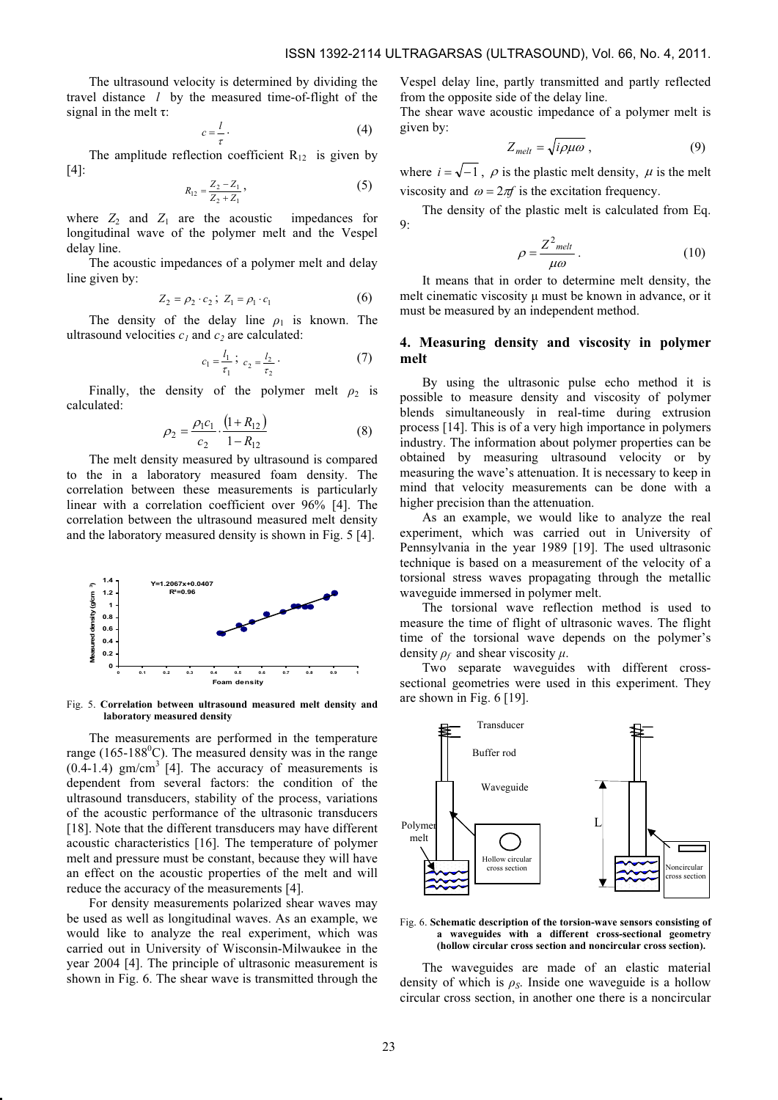The ultrasound velocity is determined by dividing the travel distance  $l$  by the measured time-of-flight of the signal in the melt  $\tau$ :

$$
c = \frac{l}{\tau} \tag{4}
$$

The amplitude reflection coefficient  $R_{12}$  is given by [4]:

$$
R_{12} = \frac{Z_2 - Z_1}{Z_2 + Z_1},
$$
\n(5)

where  $Z_2$  and  $Z_1$  are the acoustic impedances for longitudinal wave of the polymer melt and the Vespel delay line.

The acoustic impedances of a polymer melt and delay line given by:

$$
Z_2 = \rho_2 \cdot c_2 \, ; \, Z_1 = \rho_1 \cdot c_1 \tag{6}
$$

The density of the delay line  $\rho_1$  is known. The ultrasound velocities  $c_1$  and  $c_2$  are calculated:

$$
c_1 = \frac{l_1}{\tau_1} \; ; \; c_2 = \frac{l_2}{\tau_2} \; . \tag{7}
$$

Finally, the density of the polymer melt  $\rho_2$  is calculated:

$$
\rho_2 = \frac{\rho_1 c_1}{c_2} \cdot \frac{\left(1 + R_{12}\right)}{1 - R_{12}}\tag{8}
$$

The melt density measured by ultrasound is compared to the in a laboratory measured foam density. The correlation between these measurements is particularly linear with a correlation coefficient over 96% [4]. The correlation between the ultrasound measured melt density and the laboratory measured density is shown in Fig. 5 [4].



Fig. 5. Correlation between ultrasound measured melt density and laboratory measured density

The measurements are performed in the temperature range (165-188 $^{\circ}$ C). The measured density was in the range  $(0.\overline{4} - 1.\overline{4})$  gm/cm<sup>3</sup> [4]. The accuracy of measurements is dependent from several factors: the condition of the ultrasound transducers, stability of the process, variations of the acoustic performance of the ultrasonic transducers [18]. Note that the different transducers may have different acoustic characteristics [16]. The temperature of polymer melt and pressure must be constant, because they will have an effect on the acoustic properties of the melt and will reduce the accuracy of the measurements [4].

For density measurements polarized shear waves may be used as well as longitudinal waves. As an example, we would like to analyze the real experiment, which was carried out in University of Wisconsin-Milwaukee in the year 2004 [4]. The principle of ultrasonic measurement is shown in Fig. 6. The shear wave is transmitted through the Vespel delay line, partly transmitted and partly reflected from the opposite side of the delay line.

The shear wave acoustic impedance of a polymer melt is given by:

$$
Z_{melt} = \sqrt{i\rho\mu\omega} \,, \tag{9}
$$

where  $i = \sqrt{-1}$ ,  $\rho$  is the plastic melt density,  $\mu$  is the melt viscosity and  $\omega = 2\pi f$  is the excitation frequency.

The density of the plastic melt is calculated from Eq.  $Q$ 

$$
\rho = \frac{Z^2_{\text{melt}}}{\mu \omega} \,. \tag{10}
$$

It means that in order to determine melt density, the melt cinematic viscosity μ must be known in advance, or it must be measured by an independent method.

# 4. Measuring density and viscosity in polymer melt

By using the ultrasonic pulse echo method it is possible to measure density and viscosity of polymer blends simultaneously in real-time during extrusion process [14]. This is of a very high importance in polymers industry. The information about polymer properties can be obtained by measuring ultrasound velocity or by measuring the wave's attenuation. It is necessary to keep in mind that velocity measurements can be done with a higher precision than the attenuation.

As an example, we would like to analyze the real experiment, which was carried out in University of Pennsylvania in the year 1989 [19]. The used ultrasonic technique is based on a measurement of the velocity of a torsional stress waves propagating through the metallic waveguide immersed in polymer melt.

The torsional wave reflection method is used to measure the time of flight of ultrasonic waves. The flight time of the torsional wave depends on the polymer's density  $\rho_f$  and shear viscosity  $\mu$ .

Two separate waveguides with different crosssectional geometries were used in this experiment. They are shown in Fig. 6 [19].



Fig. 6. Schematic description of the torsion-wave sensors consisting of a waveguides with a different cross-sectional geometry (hollow circular cross section and noncircular cross section).

The waveguides are made of an elastic material density of which is  $\rho_s$ . Inside one waveguide is a hollow circular cross section, in another one there is a noncircular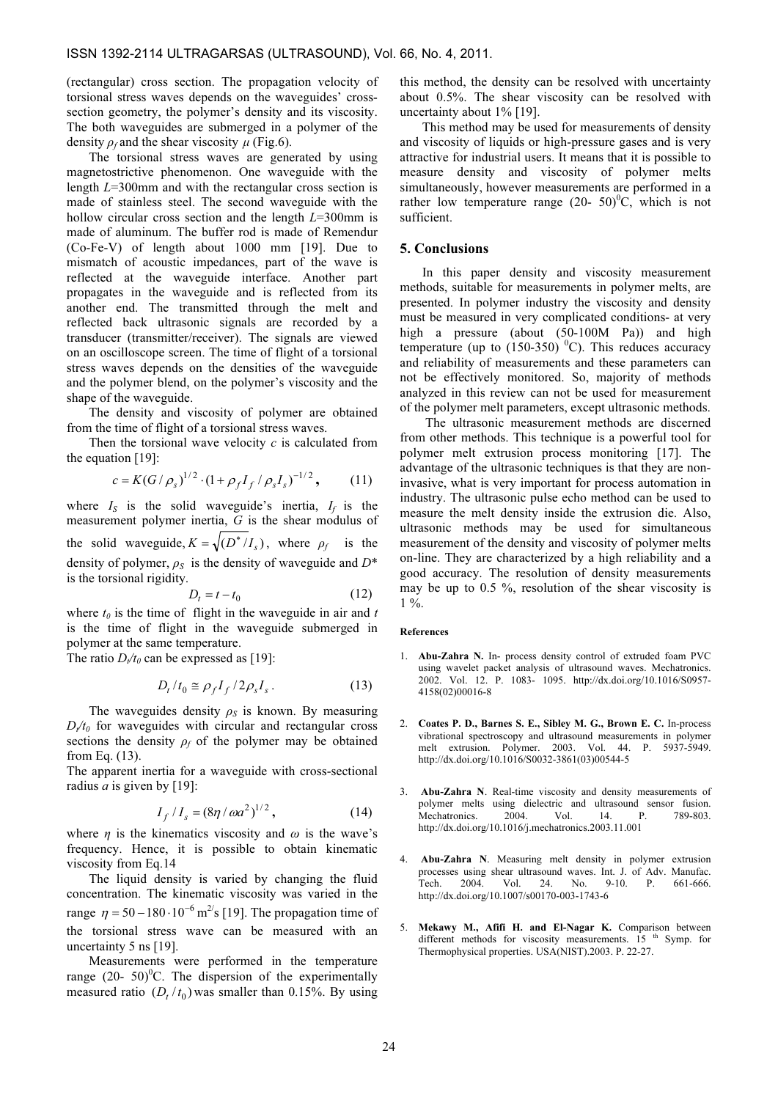(rectangular) cross section. The propagation velocity of torsional stress waves depends on the waveguides' crosssection geometry, the polymer's density and its viscosity. The both waveguides are submerged in a polymer of the density  $\rho_f$  and the shear viscosity  $\mu$  (Fig.6).

The torsional stress waves are generated by using magnetostrictive phenomenon. One waveguide with the length L=300mm and with the rectangular cross section is made of stainless steel. The second waveguide with the hollow circular cross section and the length  $L=300$ mm is made of aluminum. The buffer rod is made of Remendur (Co-Fe-V) of length about 1000 mm [19]. Due to mismatch of acoustic impedances, part of the wave is reflected at the waveguide interface. Another part propagates in the waveguide and is reflected from its another end. The transmitted through the melt and reflected back ultrasonic signals are recorded by a transducer (transmitter/receiver). The signals are viewed on an oscilloscope screen. The time of flight of a torsional stress waves depends on the densities of the waveguide and the polymer blend, on the polymer's viscosity and the shape of the waveguide.

The density and viscosity of polymer are obtained from the time of flight of a torsional stress waves.

Then the torsional wave velocity  $c$  is calculated from the equation [19]:

$$
c = K(G/\rho_s)^{1/2} \cdot (1 + \rho_f I_f / \rho_s I_s)^{-1/2}, \qquad (11)
$$

where  $I_S$  is the solid waveguide's inertia,  $I_f$  is the measurement polymer inertia, G is the shear modulus of the solid waveguide,  $K = \sqrt{(D^*/I_s)}$ , where  $\rho_f$  is the density of polymer,  $\rho_s$  is the density of waveguide and  $D^*$ is the torsional rigidity.

$$
D_t = t - t_0 \tag{12}
$$

where  $t_0$  is the time of flight in the waveguide in air and t is the time of flight in the waveguide submerged in polymer at the same temperature.

The ratio  $D_{t}/t_0$  can be expressed as [19]:

$$
D_t/t_0 \cong \rho_f I_f / 2\rho_s I_s. \tag{13}
$$

The waveguides density  $\rho_s$  is known. By measuring  $D/t_0$  for waveguides with circular and rectangular cross sections the density  $\rho_f$  of the polymer may be obtained from Eq. (13).

The apparent inertia for a waveguide with cross-sectional radius *a* is given by [19]:

$$
I_f / I_s = (8\eta / \omega a^2)^{1/2}, \qquad (14)
$$

where  $\eta$  is the kinematics viscosity and  $\omega$  is the wave's frequency. Hence, it is possible to obtain kinematic viscosity from Eq.14

The liquid density is varied by changing the fluid concentration. The kinematic viscosity was varied in the range  $\eta = 50 - 180 \cdot 10^{-6}$  m<sup>2/</sup>s [19]. The propagation time of the torsional stress wave can be measured with an uncertainty 5 ns [19].

Measurements were performed in the temperature range  $(20 - 50)^{0}$ C. The dispersion of the experimentally measured ratio  $(D_t / t_0)$  was smaller than 0.15%. By using

this method, the density can be resolved with uncertainty about 0.5%. The shear viscosity can be resolved with uncertainty about 1% [19].

This method may be used for measurements of density and viscosity of liquids or high-pressure gases and is very attractive for industrial users. It means that it is possible to measure density and viscosity of polymer melts simultaneously, however measurements are performed in a rather low temperature range  $(20 - 50)$ <sup>0</sup>C, which is not sufficient.

### 5. Conclusions

In this paper density and viscosity measurement methods, suitable for measurements in polymer melts, are presented. In polymer industry the viscosity and density must be measured in very complicated conditions- at very high a pressure (about (50-100M Pa)) and high temperature (up to  $(150-350)$ <sup>0</sup>C). This reduces accuracy and reliability of measurements and these parameters can not be effectively monitored. So, majority of methods analyzed in this review can not be used for measurement of the polymer melt parameters, except ultrasonic methods.

 The ultrasonic measurement methods are discerned from other methods. This technique is a powerful tool for polymer melt extrusion process monitoring [17]. The advantage of the ultrasonic techniques is that they are noninvasive, what is very important for process automation in industry. The ultrasonic pulse echo method can be used to measure the melt density inside the extrusion die. Also, ultrasonic methods may be used for simultaneous measurement of the density and viscosity of polymer melts on-line. They are characterized by a high reliability and a good accuracy. The resolution of density measurements may be up to 0.5 %, resolution of the shear viscosity is  $1\%$ .

#### References

- 1. Abu-Zahra N. In- process density control of extruded foam PVC using wavelet packet analysis of ultrasound waves. Mechatronics. 2002. Vol. 12. P. 1083- 1095. http://dx.doi.org/10.1016/S0957- 4158(02)00016-8
- 2. Coates P. D., Barnes S. E., Sibley M. G., Brown E. C. In-process vibrational spectroscopy and ultrasound measurements in polymer melt extrusion. Polymer. 2003. Vol. 44. P. 5937-5949. http://dx.doi.org/10.1016/S0032-3861(03)00544-5
- 3. Abu-Zahra N. Real-time viscosity and density measurements of polymer melts using dielectric and ultrasound sensor fusion.<br>Mechatronics 2004 Vol 14 P 789-803 Mechatronics. 2004. Vol. 14. P. 789-803. http://dx.doi.org/10.1016/j.mechatronics.2003.11.001
- 4. Abu-Zahra N. Measuring melt density in polymer extrusion processes using shear ultrasound waves. Int. J. of Adv. Manufac. Tech. 2004. Vol. 24. No. 9-10. P. 661-666. http://dx.doi.org/10.1007/s00170-003-1743-6
- 5. Mekawy M., Afifi H. and El-Nagar K. Comparison between different methods for viscosity measurements.  $15<sup>th</sup>$  Symp. for Thermophysical properties. USA(NIST).2003. P. 22-27.